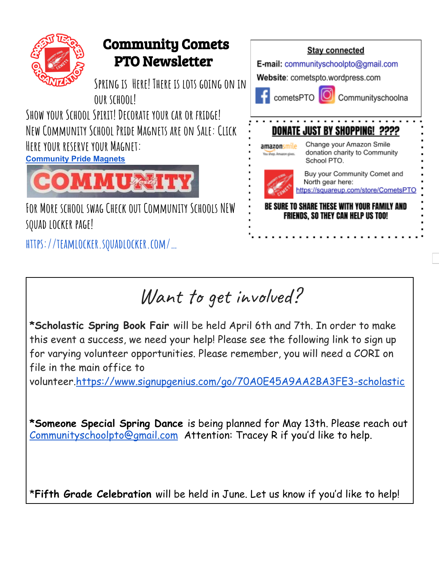

## Want to get involved?

**\*Scholastic Spring Book Fair** will be held April 6th and 7th. In order to make this event a success, we need your help! Please see the following link to sign up for varying volunteer opportunities. Please remember, you will need a CORI on file in the main office to

volunteer.<https://www.signupgenius.com/go/70A0E45A9AA2BA3FE3-scholastic>

**\*Someone Special Spring Dance** is being planned for May 13th. Please reach out [Communityschoolpto@gmail.com](mailto:Communityschoolpto@gmail.com) Attention: Tracey R if you'd like to help.

\***Fifth Grade Celebration** will be held in June. Let us know if you'd like to help!